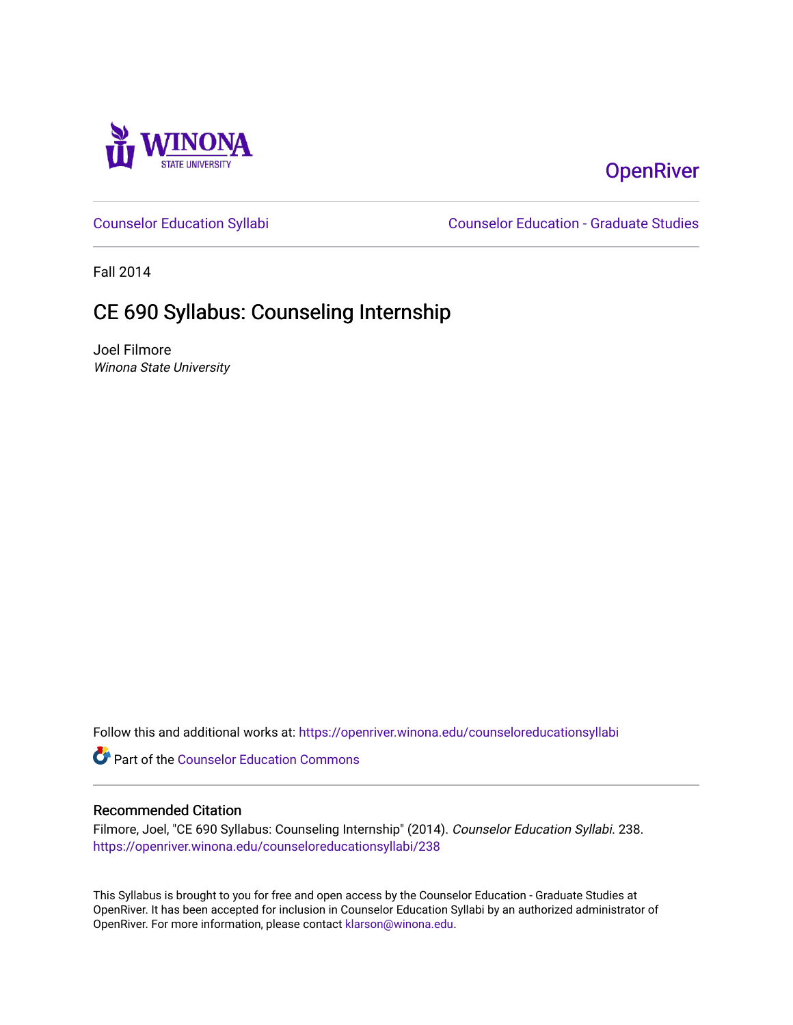

# **OpenRiver**

[Counselor Education Syllabi](https://openriver.winona.edu/counseloreducationsyllabi) [Counselor Education - Graduate Studies](https://openriver.winona.edu/counseloreducation) 

Fall 2014

# CE 690 Syllabus: Counseling Internship

Joel Filmore Winona State University

Follow this and additional works at: [https://openriver.winona.edu/counseloreducationsyllabi](https://openriver.winona.edu/counseloreducationsyllabi?utm_source=openriver.winona.edu%2Fcounseloreducationsyllabi%2F238&utm_medium=PDF&utm_campaign=PDFCoverPages)

Part of the [Counselor Education Commons](http://network.bepress.com/hgg/discipline/1278?utm_source=openriver.winona.edu%2Fcounseloreducationsyllabi%2F238&utm_medium=PDF&utm_campaign=PDFCoverPages) 

#### Recommended Citation

Filmore, Joel, "CE 690 Syllabus: Counseling Internship" (2014). Counselor Education Syllabi. 238. [https://openriver.winona.edu/counseloreducationsyllabi/238](https://openriver.winona.edu/counseloreducationsyllabi/238?utm_source=openriver.winona.edu%2Fcounseloreducationsyllabi%2F238&utm_medium=PDF&utm_campaign=PDFCoverPages)

This Syllabus is brought to you for free and open access by the Counselor Education - Graduate Studies at OpenRiver. It has been accepted for inclusion in Counselor Education Syllabi by an authorized administrator of OpenRiver. For more information, please contact [klarson@winona.edu](mailto:klarson@winona.edu).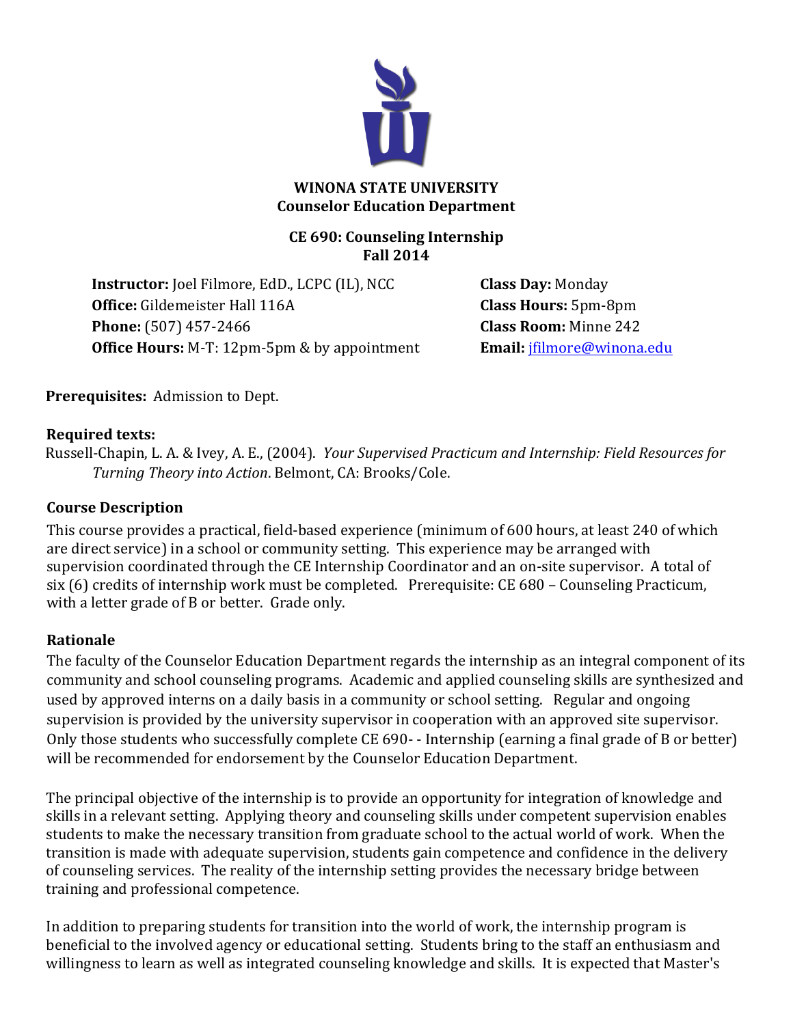

#### **WINONA STATE UNIVERSITY Counselor Education Department**

#### **CE 690: Counseling Internship Fall 2014**

**Instructor:** Joel Filmore, EdD., LCPC (IL), NCC **Class Day:** Monday **Office:** Gildemeister Hall 116A **Class Hours:** 5pm-8pm **Phone:** (507) 457-2466 **Class Room:** Minne 242 **Office Hours:** M-T: 12pm-5pm & by appointment **Email:** jfilmore@winona.edu

**Prerequisites:** Admission to Dept.

#### **Required texts:**

Russell-Chapin, L. A. & Ivey, A. E., (2004). *Your Supervised Practicum and Internship: Field Resources for Turning Theory into Action.* Belmont, CA: Brooks/Cole.

### **Course Description**

This course provides a practical, field-based experience (minimum of 600 hours, at least 240 of which are direct service) in a school or community setting. This experience may be arranged with supervision coordinated through the CE Internship Coordinator and an on-site supervisor. A total of six (6) credits of internship work must be completed. Prerequisite: CE 680 – Counseling Practicum, with a letter grade of B or better. Grade only.

### **Rationale**

The faculty of the Counselor Education Department regards the internship as an integral component of its community and school counseling programs. Academic and applied counseling skills are synthesized and used by approved interns on a daily basis in a community or school setting. Regular and ongoing supervision is provided by the university supervisor in cooperation with an approved site supervisor. Only those students who successfully complete CE 690- - Internship (earning a final grade of B or better) will be recommended for endorsement by the Counselor Education Department.

The principal objective of the internship is to provide an opportunity for integration of knowledge and skills in a relevant setting. Applying theory and counseling skills under competent supervision enables students to make the necessary transition from graduate school to the actual world of work. When the transition is made with adequate supervision, students gain competence and confidence in the delivery of counseling services. The reality of the internship setting provides the necessary bridge between training and professional competence.

In addition to preparing students for transition into the world of work, the internship program is beneficial to the involved agency or educational setting. Students bring to the staff an enthusiasm and willingness to learn as well as integrated counseling knowledge and skills. It is expected that Master's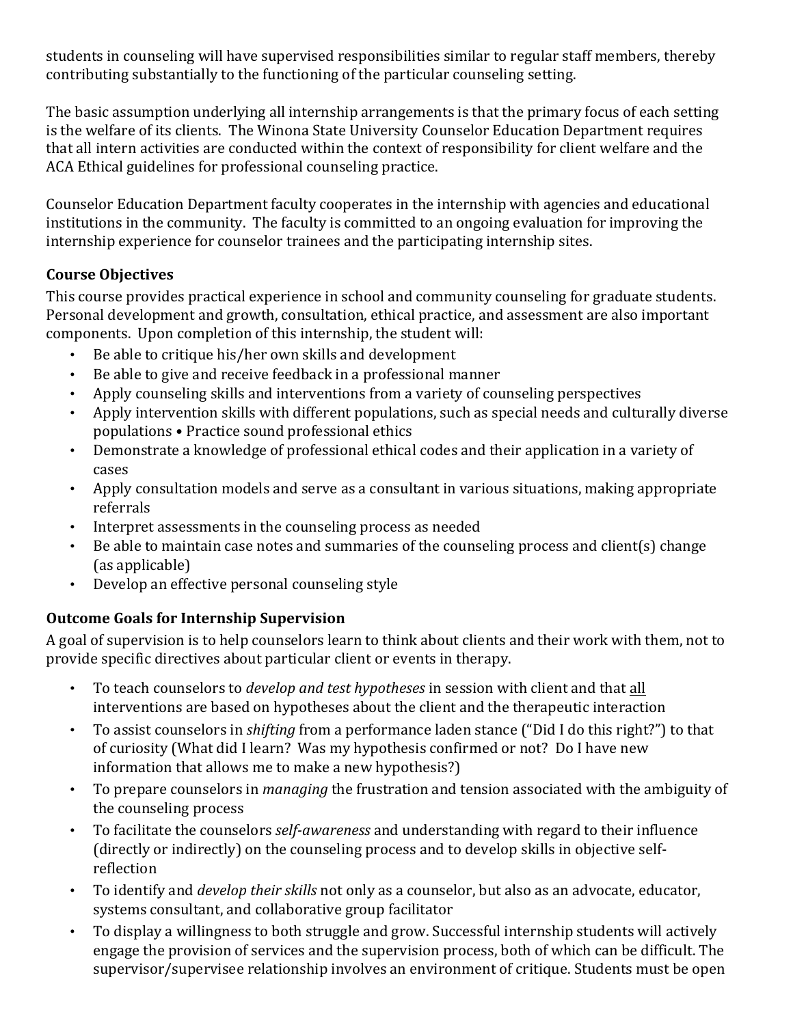students in counseling will have supervised responsibilities similar to regular staff members, thereby contributing substantially to the functioning of the particular counseling setting.

The basic assumption underlying all internship arrangements is that the primary focus of each setting is the welfare of its clients. The Winona State University Counselor Education Department requires that all intern activities are conducted within the context of responsibility for client welfare and the ACA Ethical guidelines for professional counseling practice.

Counselor Education Department faculty cooperates in the internship with agencies and educational institutions in the community. The faculty is committed to an ongoing evaluation for improving the internship experience for counselor trainees and the participating internship sites.

#### **Course Objectives**

This course provides practical experience in school and community counseling for graduate students. Personal development and growth, consultation, ethical practice, and assessment are also important components. Upon completion of this internship, the student will:

- Be able to critique his/her own skills and development
- Be able to give and receive feedback in a professional manner
- Apply counseling skills and interventions from a variety of counseling perspectives
- Apply intervention skills with different populations, such as special needs and culturally diverse populations • Practice sound professional ethics
- Demonstrate a knowledge of professional ethical codes and their application in a variety of cases
- Apply consultation models and serve as a consultant in various situations, making appropriate referrals
- Interpret assessments in the counseling process as needed
- Be able to maintain case notes and summaries of the counseling process and client(s) change (as applicable)
- Develop an effective personal counseling style

### **Outcome Goals for Internship Supervision**

A goal of supervision is to help counselors learn to think about clients and their work with them, not to provide specific directives about particular client or events in therapy.

- To teach counselors to *develop and test hypotheses* in session with client and that all interventions are based on hypotheses about the client and the therapeutic interaction
- To assist counselors in *shifting* from a performance laden stance ("Did I do this right?") to that of curiosity (What did I learn? Was my hypothesis confirmed or not? Do I have new information that allows me to make a new hypothesis?)
- To prepare counselors in *managing* the frustration and tension associated with the ambiguity of the counseling process
- To facilitate the counselors *self-awareness* and understanding with regard to their influence (directly or indirectly) on the counseling process and to develop skills in objective selfreflection
- To identify and *develop their skills* not only as a counselor, but also as an advocate, educator, systems consultant, and collaborative group facilitator
- To display a willingness to both struggle and grow. Successful internship students will actively engage the provision of services and the supervision process, both of which can be difficult. The supervisor/supervisee relationship involves an environment of critique. Students must be open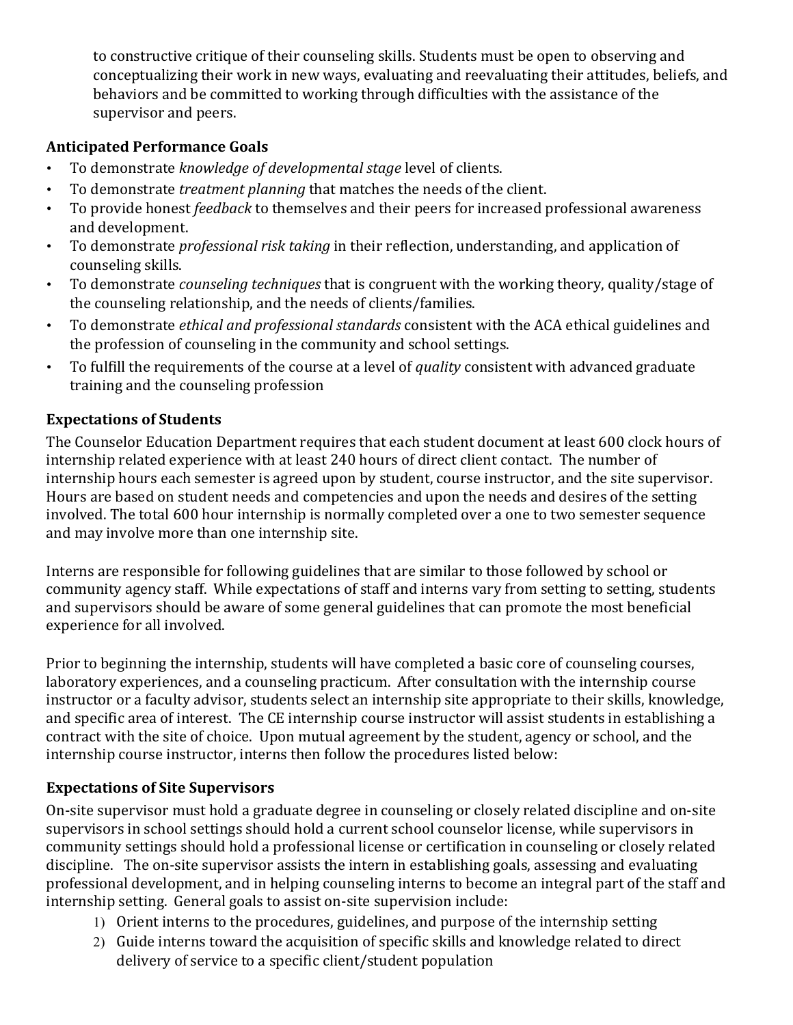to constructive critique of their counseling skills. Students must be open to observing and conceptualizing their work in new ways, evaluating and reevaluating their attitudes, beliefs, and behaviors and be committed to working through difficulties with the assistance of the supervisor and peers.

#### **Anticipated Performance Goals**

- To demonstrate *knowledge of developmental stage* level of clients.
- To demonstrate *treatment planning* that matches the needs of the client.
- To provide honest *feedback* to themselves and their peers for increased professional awareness and development.
- To demonstrate *professional risk taking* in their reflection, understanding, and application of counseling skills.
- To demonstrate *counseling techniques* that is congruent with the working theory, quality/stage of the counseling relationship, and the needs of clients/families.
- To demonstrate *ethical and professional standards* consistent with the ACA ethical guidelines and the profession of counseling in the community and school settings.
- To fulfill the requirements of the course at a level of *quality* consistent with advanced graduate training and the counseling profession

#### **Expectations of Students**

The Counselor Education Department requires that each student document at least 600 clock hours of internship related experience with at least 240 hours of direct client contact. The number of internship hours each semester is agreed upon by student, course instructor, and the site supervisor. Hours are based on student needs and competencies and upon the needs and desires of the setting involved. The total 600 hour internship is normally completed over a one to two semester sequence and may involve more than one internship site.

Interns are responsible for following guidelines that are similar to those followed by school or community agency staff. While expectations of staff and interns vary from setting to setting, students and supervisors should be aware of some general guidelines that can promote the most beneficial experience for all involved.

Prior to beginning the internship, students will have completed a basic core of counseling courses, laboratory experiences, and a counseling practicum. After consultation with the internship course instructor or a faculty advisor, students select an internship site appropriate to their skills, knowledge, and specific area of interest. The CE internship course instructor will assist students in establishing a contract with the site of choice. Upon mutual agreement by the student, agency or school, and the internship course instructor, interns then follow the procedures listed below:

#### **Expectations of Site Supervisors**

On-site supervisor must hold a graduate degree in counseling or closely related discipline and on-site supervisors in school settings should hold a current school counselor license, while supervisors in community settings should hold a professional license or certification in counseling or closely related discipline. The on-site supervisor assists the intern in establishing goals, assessing and evaluating professional development, and in helping counseling interns to become an integral part of the staff and internship setting. General goals to assist on-site supervision include:

- 1) Orient interns to the procedures, guidelines, and purpose of the internship setting
- 2) Guide interns toward the acquisition of specific skills and knowledge related to direct delivery of service to a specific client/student population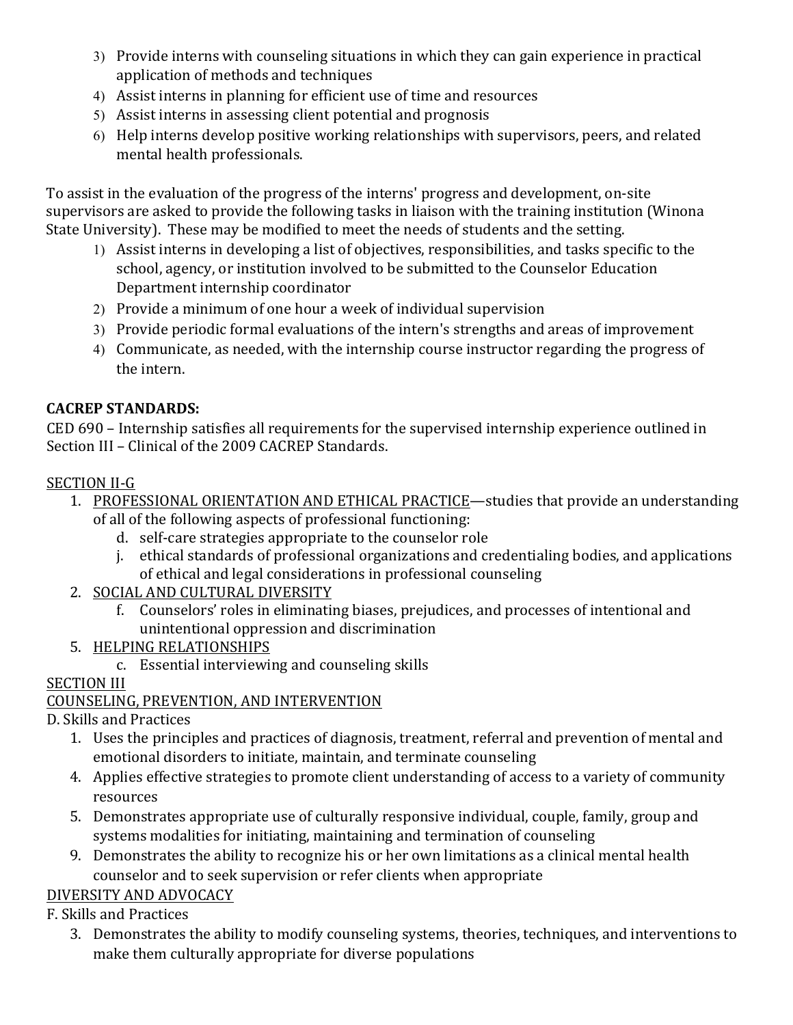- 3) Provide interns with counseling situations in which they can gain experience in practical application of methods and techniques
- 4) Assist interns in planning for efficient use of time and resources
- 5) Assist interns in assessing client potential and prognosis
- 6) Help interns develop positive working relationships with supervisors, peers, and related mental health professionals.

To assist in the evaluation of the progress of the interns' progress and development, on-site supervisors are asked to provide the following tasks in liaison with the training institution (Winona) State University). These may be modified to meet the needs of students and the setting.

- 1) Assist interns in developing a list of objectives, responsibilities, and tasks specific to the school, agency, or institution involved to be submitted to the Counselor Education Department internship coordinator
- 2) Provide a minimum of one hour a week of individual supervision
- 3) Provide periodic formal evaluations of the intern's strengths and areas of improvement
- 4) Communicate, as needed, with the internship course instructor regarding the progress of the intern.

## **CACREP STANDARDS:**

CED 690 – Internship satisfies all requirements for the supervised internship experience outlined in Section III - Clinical of the 2009 CACREP Standards.

### SECTION II-G

- 1. PROFESSIONAL ORIENTATION AND ETHICAL PRACTICE—studies that provide an understanding of all of the following aspects of professional functioning:
	- d. self-care strategies appropriate to the counselor role
	- j. ethical standards of professional organizations and credentialing bodies, and applications of ethical and legal considerations in professional counseling
- 2. SOCIAL AND CULTURAL DIVERSITY
	- f. Counselors' roles in eliminating biases, prejudices, and processes of intentional and unintentional oppression and discrimination
- 5. HELPING RELATIONSHIPS
	- c. Essential interviewing and counseling skills

## **SECTION III**

### COUNSELING, PREVENTION, AND INTERVENTION

D. Skills and Practices

- 1. Uses the principles and practices of diagnosis, treatment, referral and prevention of mental and emotional disorders to initiate, maintain, and terminate counseling
- 4. Applies effective strategies to promote client understanding of access to a variety of community resources
- 5. Demonstrates appropriate use of culturally responsive individual, couple, family, group and systems modalities for initiating, maintaining and termination of counseling
- 9. Demonstrates the ability to recognize his or her own limitations as a clinical mental health counselor and to seek supervision or refer clients when appropriate

## DIVERSITY AND ADVOCACY

F. Skills and Practices

3. Demonstrates the ability to modify counseling systems, theories, techniques, and interventions to make them culturally appropriate for diverse populations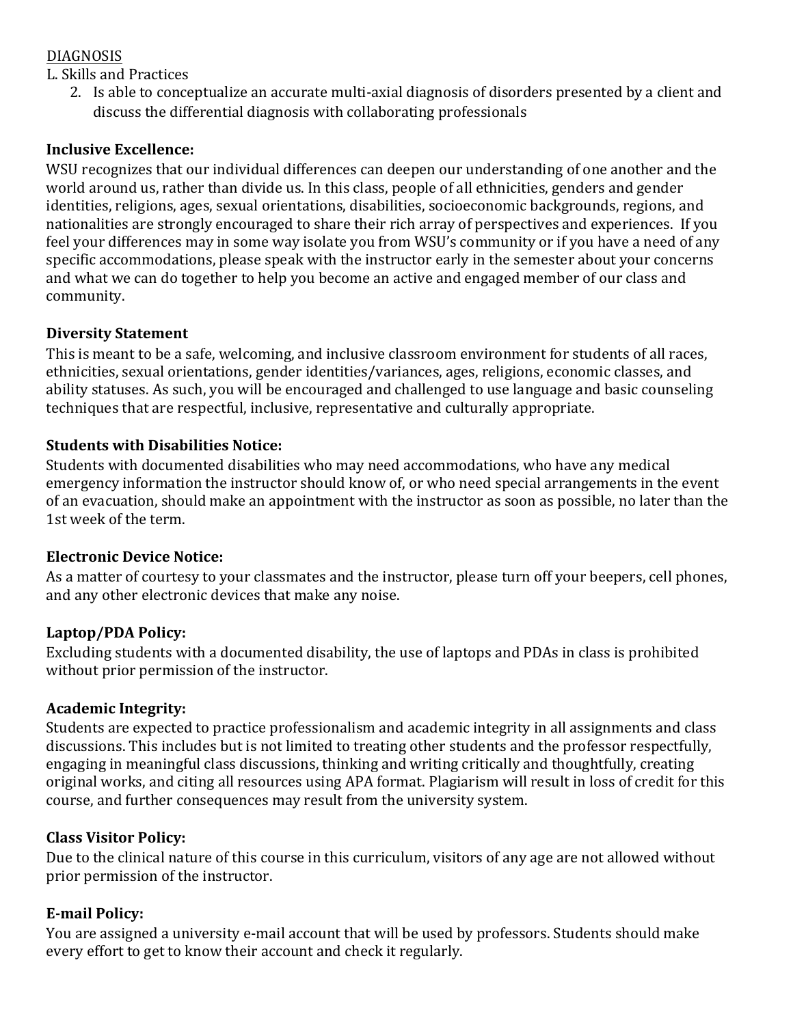#### DIAGNOSIS

L. Skills and Practices

2. Is able to conceptualize an accurate multi-axial diagnosis of disorders presented by a client and discuss the differential diagnosis with collaborating professionals

#### **Inclusive Excellence:**

WSU recognizes that our individual differences can deepen our understanding of one another and the world around us, rather than divide us. In this class, people of all ethnicities, genders and gender identities, religions, ages, sexual orientations, disabilities, socioeconomic backgrounds, regions, and nationalities are strongly encouraged to share their rich array of perspectives and experiences. If you feel your differences may in some way isolate you from WSU's community or if you have a need of any specific accommodations, please speak with the instructor early in the semester about your concerns and what we can do together to help you become an active and engaged member of our class and community. 

### **Diversity Statement**

This is meant to be a safe, welcoming, and inclusive classroom environment for students of all races, ethnicities, sexual orientations, gender identities/variances, ages, religions, economic classes, and ability statuses. As such, you will be encouraged and challenged to use language and basic counseling techniques that are respectful, inclusive, representative and culturally appropriate.

### **Students with Disabilities Notice:**

Students with documented disabilities who may need accommodations, who have any medical emergency information the instructor should know of, or who need special arrangements in the event of an evacuation, should make an appointment with the instructor as soon as possible, no later than the 1st week of the term.

### **Electronic Device Notice:**

As a matter of courtesy to your classmates and the instructor, please turn off your beepers, cell phones, and any other electronic devices that make any noise.

### Laptop/PDA Policy:

Excluding students with a documented disability, the use of laptops and PDAs in class is prohibited without prior permission of the instructor.

### **Academic Integrity:**

Students are expected to practice professionalism and academic integrity in all assignments and class discussions. This includes but is not limited to treating other students and the professor respectfully, engaging in meaningful class discussions, thinking and writing critically and thoughtfully, creating original works, and citing all resources using APA format. Plagiarism will result in loss of credit for this course, and further consequences may result from the university system.

#### **Class Visitor Policy:**

Due to the clinical nature of this course in this curriculum, visitors of any age are not allowed without prior permission of the instructor.

### **E-mail Policy:**

You are assigned a university e-mail account that will be used by professors. Students should make every effort to get to know their account and check it regularly.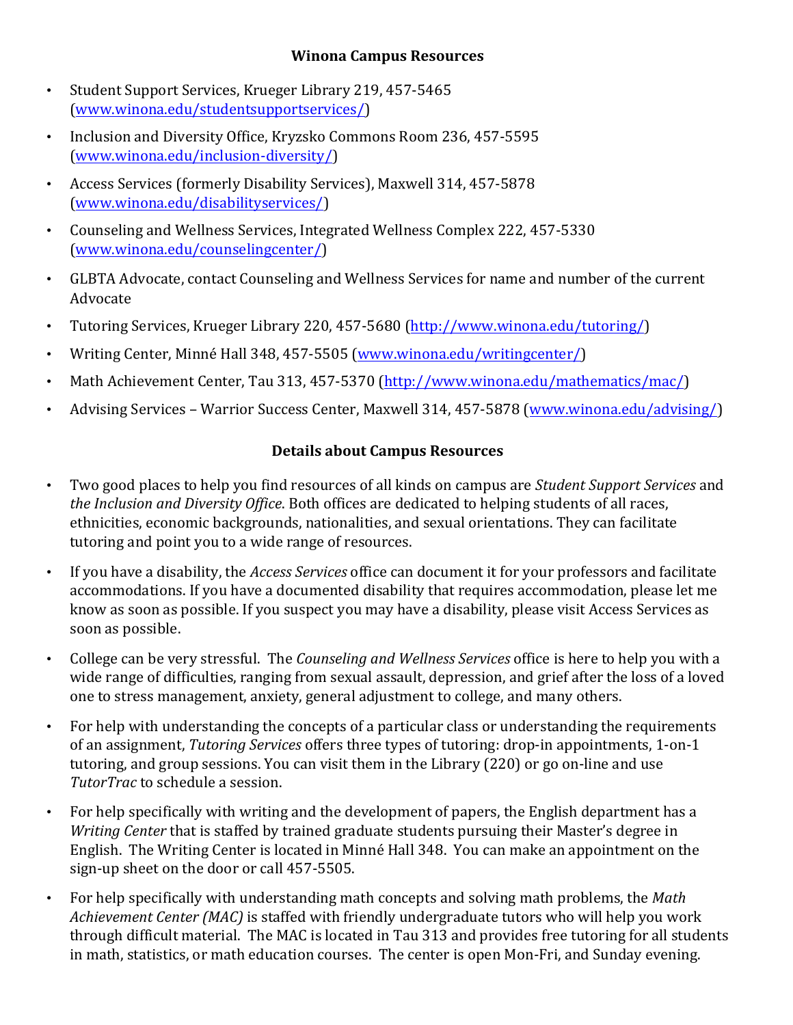#### **Winona Campus Resources**

- Student Support Services, Krueger Library 219, 457-5465 (www.winona.edu/studentsupportservices/)
- Inclusion and Diversity Office, Kryzsko Commons Room 236, 457-5595 (www.winona.edu/inclusion-diversity/)
- Access Services (formerly Disability Services), Maxwell 314, 457-5878 (www.winona.edu/disabilityservices/)
- Counseling and Wellness Services, Integrated Wellness Complex 222, 457-5330 (www.winona.edu/counselingcenter/)
- GLBTA Advocate, contact Counseling and Wellness Services for name and number of the current Advocate
- Tutoring Services, Krueger Library 220, 457-5680 (http://www.winona.edu/tutoring/)
- Writing Center, Minné Hall 348, 457-5505 (www.winona.edu/writingcenter/)
- Math Achievement Center, Tau 313, 457-5370 (http://www.winona.edu/mathematics/mac/)
- Advising Services Warrior Success Center, Maxwell 314, 457-5878 (www.winona.edu/advising/)

## **Details about Campus Resources**

- Two good places to help you find resources of all kinds on campus are *Student Support Services* and *the Inclusion and Diversity Office*. Both offices are dedicated to helping students of all races, ethnicities, economic backgrounds, nationalities, and sexual orientations. They can facilitate tutoring and point you to a wide range of resources.
- If you have a disability, the *Access Services* office can document it for your professors and facilitate accommodations. If you have a documented disability that requires accommodation, please let me know as soon as possible. If you suspect you may have a disability, please visit Access Services as soon as possible.
- College can be very stressful. The *Counseling and Wellness Services* office is here to help you with a wide range of difficulties, ranging from sexual assault, depression, and grief after the loss of a loved one to stress management, anxiety, general adjustment to college, and many others.
- For help with understanding the concepts of a particular class or understanding the requirements of an assignment, *Tutoring Services* offers three types of tutoring: drop-in appointments. 1-on-1 tutoring, and group sessions. You can visit them in the Library (220) or go on-line and use **TutorTrac** to schedule a session.
- For help specifically with writing and the development of papers, the English department has a *Writing Center* that is staffed by trained graduate students pursuing their Master's degree in English. The Writing Center is located in Minné Hall 348. You can make an appointment on the sign-up sheet on the door or call 457-5505.
- For help specifically with understanding math concepts and solving math problems, the *Math Achievement Center (MAC)* is staffed with friendly undergraduate tutors who will help you work through difficult material. The MAC is located in Tau 313 and provides free tutoring for all students in math, statistics, or math education courses. The center is open Mon-Fri, and Sunday evening.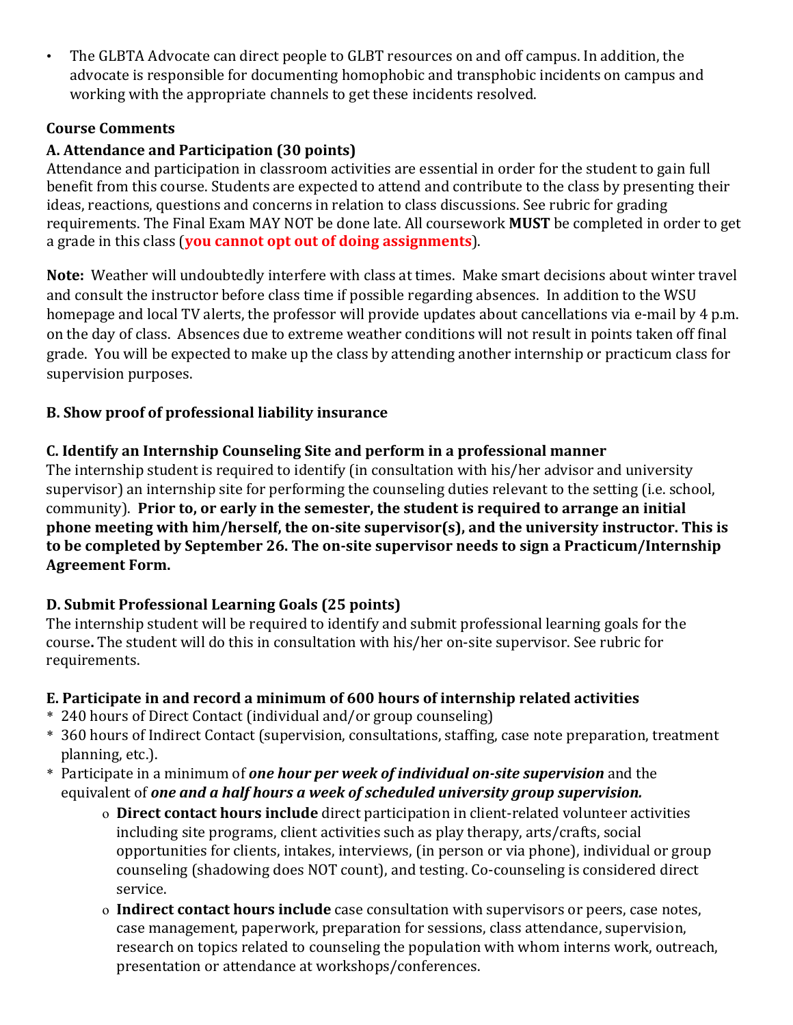• The GLBTA Advocate can direct people to GLBT resources on and off campus. In addition, the advocate is responsible for documenting homophobic and transphobic incidents on campus and working with the appropriate channels to get these incidents resolved.

### **Course Comments**

## A. Attendance and Participation (30 points)

Attendance and participation in classroom activities are essential in order for the student to gain full benefit from this course. Students are expected to attend and contribute to the class by presenting their ideas, reactions, questions and concerns in relation to class discussions. See rubric for grading requirements. The Final Exam MAY NOT be done late. All coursework **MUST** be completed in order to get a grade in this class (**you cannot opt out of doing assignments**).

**Note:** Weather will undoubtedly interfere with class at times. Make smart decisions about winter travel and consult the instructor before class time if possible regarding absences. In addition to the WSU homepage and local TV alerts, the professor will provide updates about cancellations via e-mail by 4 p.m. on the day of class. Absences due to extreme weather conditions will not result in points taken off final grade. You will be expected to make up the class by attending another internship or practicum class for supervision purposes.

## **B.** Show proof of professional liability insurance

### **C.** Identify an Internship Counseling Site and perform in a professional manner

The internship student is required to identify (in consultation with his/her advisor and university supervisor) an internship site for performing the counseling duties relevant to the setting (i.e. school, community). Prior to, or early in the semester, the student is required to arrange an initial phone meeting with him/herself, the on-site supervisor(s), and the university instructor. This is to be completed by September 26. The on-site supervisor needs to sign a Practicum/Internship **Agreement Form.** 

## **D.** Submit Professional Learning Goals (25 points)

The internship student will be required to identify and submit professional learning goals for the course. The student will do this in consultation with his/her on-site supervisor. See rubric for requirements. 

## **E.** Participate in and record a minimum of 600 hours of internship related activities

- \* 240 hours of Direct Contact (individual and/or group counseling)
- \* 360 hours of Indirect Contact (supervision, consultations, staffing, case note preparation, treatment planning, etc.).
- \* Participate in a minimum of **one hour per week of individual on-site supervision** and the equivalent of *one and a half hours a week of scheduled university group supervision.* 
	- o **Direct contact hours include** direct participation in client-related volunteer activities including site programs, client activities such as play therapy, arts/crafts, social opportunities for clients, intakes, interviews, (in person or via phone), individual or group counseling (shadowing does NOT count), and testing. Co-counseling is considered direct service.
	- o **Indirect contact hours include** case consultation with supervisors or peers, case notes, case management, paperwork, preparation for sessions, class attendance, supervision, research on topics related to counseling the population with whom interns work, outreach, presentation or attendance at workshops/conferences.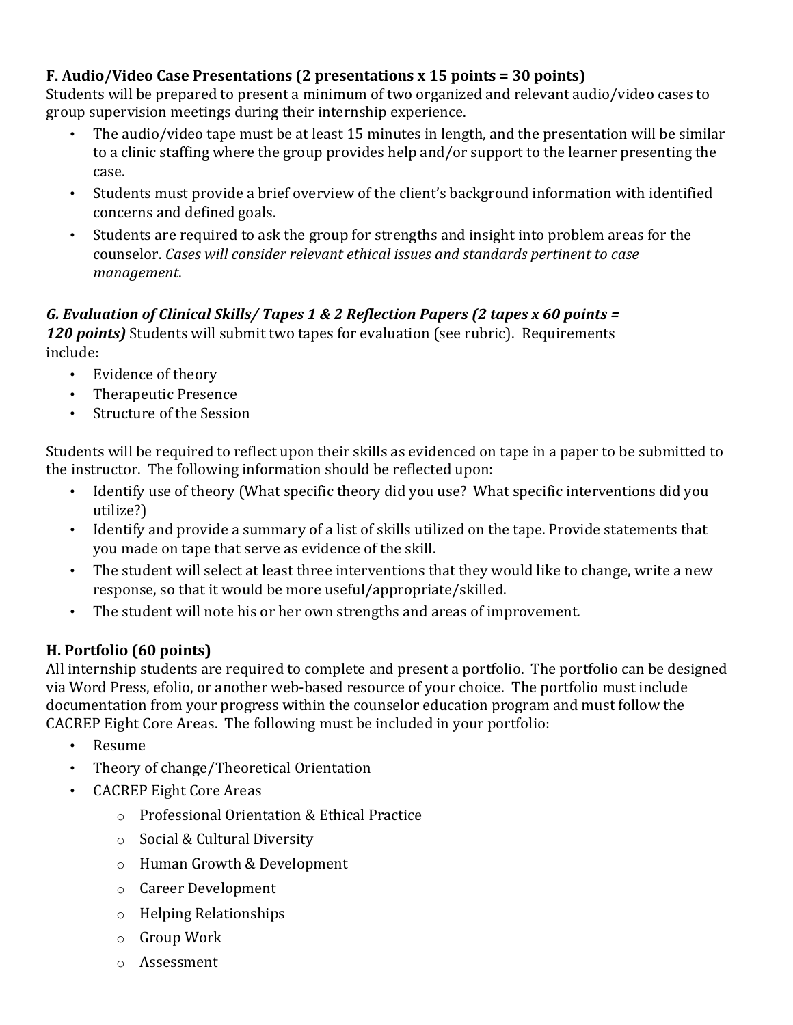### **F.** Audio/Video Case Presentations (2 presentations x 15 points = 30 points)

Students will be prepared to present a minimum of two organized and relevant audio/video cases to group supervision meetings during their internship experience.

- The audio/video tape must be at least 15 minutes in length, and the presentation will be similar to a clinic staffing where the group provides help and/or support to the learner presenting the case.
- Students must provide a brief overview of the client's background information with identified concerns and defined goals.
- Students are required to ask the group for strengths and insight into problem areas for the counselor. *Cases will consider relevant ethical issues and standards pertinent to case management*.

#### *G.* Evaluation of Clinical Skills/ Tapes 1 & 2 Reflection Papers (2 tapes x 60 points =  $\overline{a}$

*120 points)* Students will submit two tapes for evaluation (see rubric). Requirements include: 

- Evidence of theory
- Therapeutic Presence
- Structure of the Session

Students will be required to reflect upon their skills as evidenced on tape in a paper to be submitted to the instructor. The following information should be reflected upon:

- Identify use of theory (What specific theory did you use? What specific interventions did you utilize?)
- Identify and provide a summary of a list of skills utilized on the tape. Provide statements that you made on tape that serve as evidence of the skill.
- The student will select at least three interventions that they would like to change, write a new response, so that it would be more useful/appropriate/skilled.
- The student will note his or her own strengths and areas of improvement.

### **H.** Portfolio (60 points)

All internship students are required to complete and present a portfolio. The portfolio can be designed via Word Press, efolio, or another web-based resource of your choice. The portfolio must include documentation from your progress within the counselor education program and must follow the CACREP Eight Core Areas. The following must be included in your portfolio:

- Resume
- Theory of change/Theoretical Orientation
- **CACREP Eight Core Areas** 
	- o Professional Orientation & Ethical Practice
	- $\circ$  Social & Cultural Diversity
	- o Human Growth & Development
	- o Career Development
	- $\circ$  Helping Relationships
	- $\circ$  Group Work
	- o Assessment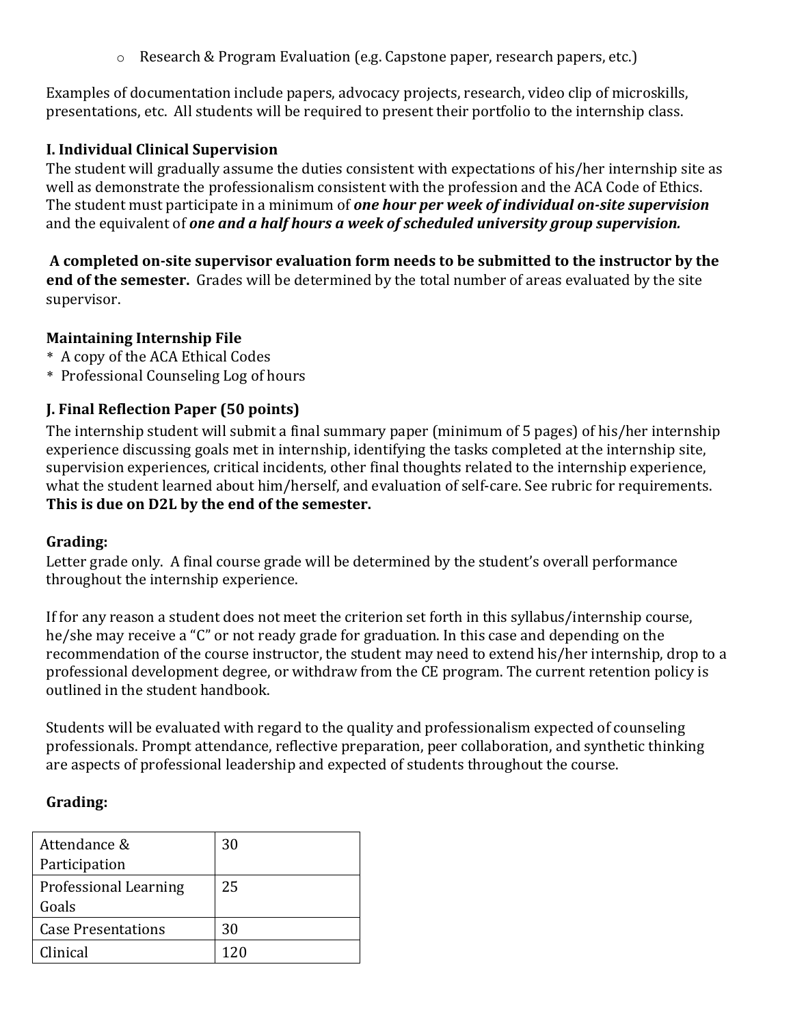$\circ$  Research & Program Evaluation (e.g. Capstone paper, research papers, etc.)

Examples of documentation include papers, advocacy projects, research, video clip of microskills, presentations, etc. All students will be required to present their portfolio to the internship class.

#### **I. Individual Clinical Supervision**

The student will gradually assume the duties consistent with expectations of his/her internship site as well as demonstrate the professionalism consistent with the profession and the ACA Code of Ethics. The student must participate in a minimum of **one hour per week of individual on-site supervision** and the equivalent of *one and a half hours a week of scheduled university group supervision.* 

A completed on-site supervisor evaluation form needs to be submitted to the instructor by the **end of the semester.** Grades will be determined by the total number of areas evaluated by the site supervisor. 

#### **Maintaining Internship File**

- \* A copy of the ACA Ethical Codes
- \* Professional Counseling Log of hours

#### **J. Final Reflection Paper (50 points)**

The internship student will submit a final summary paper (minimum of 5 pages) of his/her internship experience discussing goals met in internship, identifying the tasks completed at the internship site, supervision experiences, critical incidents, other final thoughts related to the internship experience, what the student learned about him/herself, and evaluation of self-care. See rubric for requirements. This is due on D2L by the end of the semester.

#### Grading:

Letter grade only. A final course grade will be determined by the student's overall performance throughout the internship experience.

If for any reason a student does not meet the criterion set forth in this syllabus/internship course, he/she may receive a "C" or not ready grade for graduation. In this case and depending on the recommendation of the course instructor, the student may need to extend his/her internship, drop to a professional development degree, or withdraw from the CE program. The current retention policy is outlined in the student handbook.

Students will be evaluated with regard to the quality and professionalism expected of counseling professionals. Prompt attendance, reflective preparation, peer collaboration, and synthetic thinking are aspects of professional leadership and expected of students throughout the course.

#### Grading:

| Attendance &                 | 30  |
|------------------------------|-----|
| Participation                |     |
| <b>Professional Learning</b> | 25  |
| Goals                        |     |
| <b>Case Presentations</b>    | 30  |
| Clinical                     | 120 |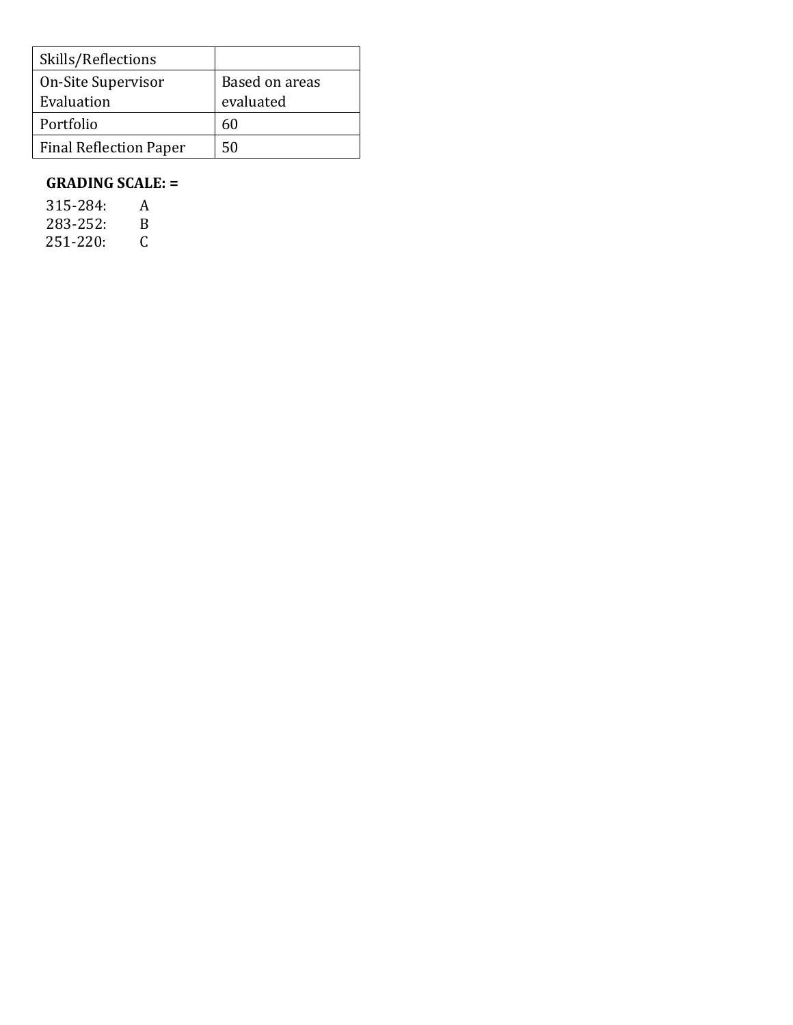| Skills/Reflections            |                |
|-------------------------------|----------------|
| On-Site Supervisor            | Based on areas |
| Evaluation                    | evaluated      |
| Portfolio                     | 60             |
| <b>Final Reflection Paper</b> | 50             |

#### **GRADING SCALE: =**

| 315-284: | A |
|----------|---|
| 283-252: | В |
| 251-220: | C |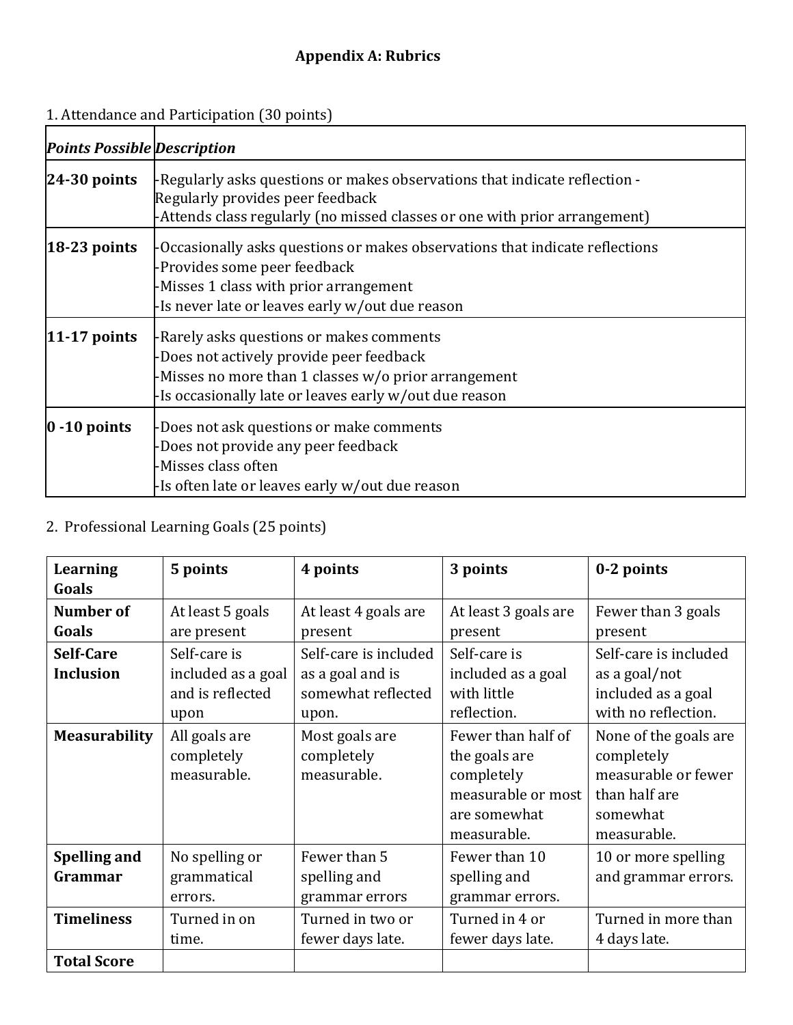# **Appendix A: Rubrics**

#### 1. Attendance and Participation (30 points)

|                                    | 1. Attendance and Participation (30 points)                                                                                                                                                               |
|------------------------------------|-----------------------------------------------------------------------------------------------------------------------------------------------------------------------------------------------------------|
| <b>Points Possible Description</b> |                                                                                                                                                                                                           |
| $24-30$ points                     | -Regularly asks questions or makes observations that indicate reflection -<br>Regularly provides peer feedback<br>-Attends class regularly (no missed classes or one with prior arrangement)              |
| $18-23$ points                     | -Occasionally asks questions or makes observations that indicate reflections<br>-Provides some peer feedback<br>-Misses 1 class with prior arrangement<br>-Is never late or leaves early w/out due reason |
| $ 11-17 $ points                   | -Rarely asks questions or makes comments<br>-Does not actively provide peer feedback<br>-Misses no more than 1 classes w/o prior arrangement<br>-Is occasionally late or leaves early w/out due reason    |
| $ 0 - 10$ points                   | -Does not ask questions or make comments<br>-Does not provide any peer feedback<br>-Misses class often<br>-Is often late or leaves early w/out due reason                                                 |

## 2. Professional Learning Goals (25 points)

| Learning<br>Goals                       | 5 points                                                       | 4 points                                                                 | 3 points                                                                                               | 0-2 points                                                                                             |
|-----------------------------------------|----------------------------------------------------------------|--------------------------------------------------------------------------|--------------------------------------------------------------------------------------------------------|--------------------------------------------------------------------------------------------------------|
| <b>Number of</b><br>Goals               | At least 5 goals<br>are present                                | At least 4 goals are<br>present                                          | At least 3 goals are<br>present                                                                        | Fewer than 3 goals<br>present                                                                          |
| Self-Care<br><b>Inclusion</b>           | Self-care is<br>included as a goal<br>and is reflected<br>upon | Self-care is included<br>as a goal and is<br>somewhat reflected<br>upon. | Self-care is<br>included as a goal<br>with little<br>reflection.                                       | Self-care is included<br>as a goal/not<br>included as a goal<br>with no reflection.                    |
| <b>Measurability</b>                    | All goals are<br>completely<br>measurable.                     | Most goals are<br>completely<br>measurable.                              | Fewer than half of<br>the goals are<br>completely<br>measurable or most<br>are somewhat<br>measurable. | None of the goals are<br>completely<br>measurable or fewer<br>than half are<br>somewhat<br>measurable. |
| <b>Spelling and</b><br>Grammar          | No spelling or<br>grammatical<br>errors.                       | Fewer than 5<br>spelling and<br>grammar errors                           | Fewer than 10<br>spelling and<br>grammar errors.                                                       | 10 or more spelling<br>and grammar errors.                                                             |
| <b>Timeliness</b><br><b>Total Score</b> | Turned in on<br>time.                                          | Turned in two or<br>fewer days late.                                     | Turned in 4 or<br>fewer days late.                                                                     | Turned in more than<br>4 days late.                                                                    |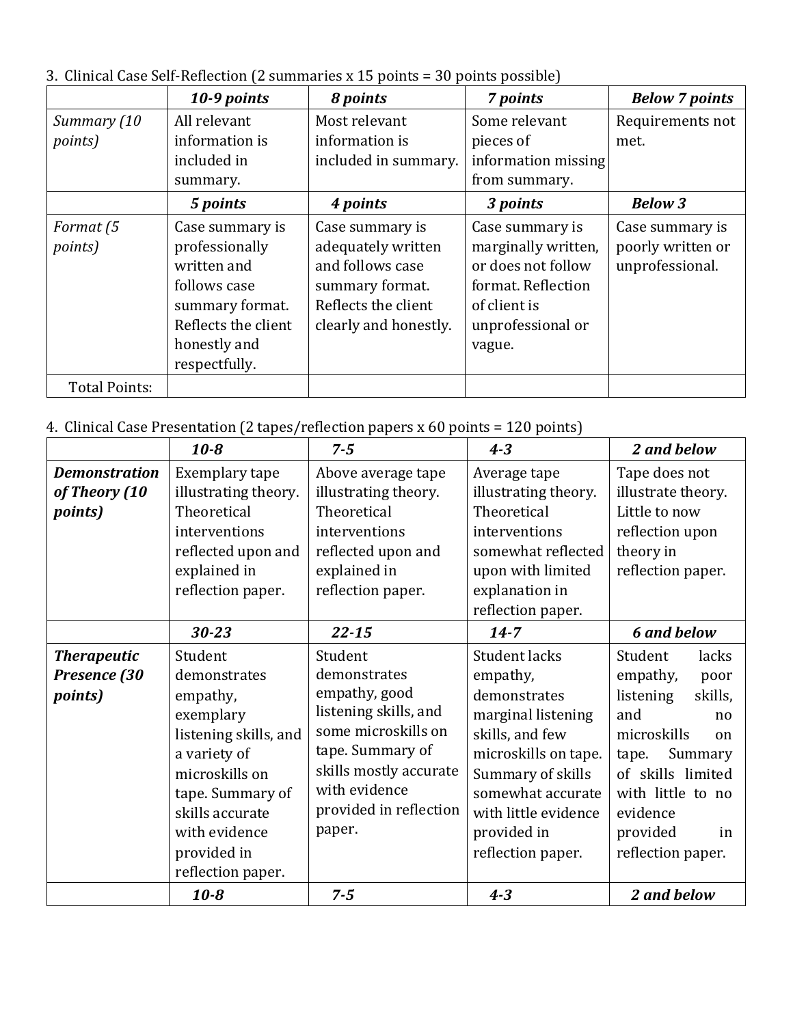3. Clinical Case Self-Reflection (2 summaries x 15 points = 30 points possible)

|                      | 10-9 points                                                                                                                                 | 8 points                                                                                                                     | 7 points                                                                                                                          | <b>Below 7 points</b>                                   |
|----------------------|---------------------------------------------------------------------------------------------------------------------------------------------|------------------------------------------------------------------------------------------------------------------------------|-----------------------------------------------------------------------------------------------------------------------------------|---------------------------------------------------------|
| Summary (10          | All relevant                                                                                                                                | Most relevant                                                                                                                | Some relevant                                                                                                                     | Requirements not                                        |
| <i>points</i> )      | information is                                                                                                                              | information is                                                                                                               | pieces of                                                                                                                         | met.                                                    |
|                      | included in                                                                                                                                 | included in summary.                                                                                                         | information missing                                                                                                               |                                                         |
|                      | summary.                                                                                                                                    |                                                                                                                              | from summary.                                                                                                                     |                                                         |
|                      | 5 points                                                                                                                                    | 4 points                                                                                                                     | 3 points                                                                                                                          | <b>Below 3</b>                                          |
| Format (5<br>points) | Case summary is<br>professionally<br>written and<br>follows case<br>summary format.<br>Reflects the client<br>honestly and<br>respectfully. | Case summary is<br>adequately written<br>and follows case<br>summary format.<br>Reflects the client<br>clearly and honestly. | Case summary is<br>marginally written,<br>or does not follow<br>format. Reflection<br>of client is<br>unprofessional or<br>vague. | Case summary is<br>poorly written or<br>unprofessional. |
| <b>Total Points:</b> |                                                                                                                                             |                                                                                                                              |                                                                                                                                   |                                                         |

4. Clinical Case Presentation (2 tapes/reflection papers x 60 points = 120 points)

|                      | $10 - 8$              | $7 - 5$                | $4 - 3$              | 2 and below             |
|----------------------|-----------------------|------------------------|----------------------|-------------------------|
| <b>Demonstration</b> | Exemplary tape        | Above average tape     | Average tape         | Tape does not           |
| of Theory (10        | illustrating theory.  | illustrating theory.   | illustrating theory. | illustrate theory.      |
| <i>points</i> )      | Theoretical           | Theoretical            | Theoretical          | Little to now           |
|                      | interventions         | interventions          | interventions        | reflection upon         |
|                      | reflected upon and    | reflected upon and     | somewhat reflected   | theory in               |
|                      | explained in          | explained in           | upon with limited    | reflection paper.       |
|                      | reflection paper.     | reflection paper.      | explanation in       |                         |
|                      |                       |                        | reflection paper.    |                         |
|                      | $30 - 23$             | $22 - 15$              | $14 - 7$             | <b>6 and below</b>      |
| <b>Therapeutic</b>   | Student               | Student                | <b>Student lacks</b> | Student<br>lacks        |
| Presence (30         | demonstrates          | demonstrates           | empathy,             | empathy,<br>poor        |
| <i>points</i> )      | empathy,              | empathy, good          | demonstrates         | listening<br>skills,    |
|                      | exemplary             | listening skills, and  | marginal listening   | and<br>no               |
|                      | listening skills, and | some microskills on    | skills, and few      | microskills<br>$\alpha$ |
|                      | a variety of          | tape. Summary of       | microskills on tape. | Summary<br>tape.        |
|                      | microskills on        | skills mostly accurate | Summary of skills    | of skills limited       |
|                      | tape. Summary of      | with evidence          | somewhat accurate    | with little to no       |
|                      | skills accurate       | provided in reflection | with little evidence | evidence                |
|                      | with evidence         | paper.                 | provided in          | provided<br>in          |
|                      | provided in           |                        | reflection paper.    | reflection paper.       |
|                      | reflection paper.     |                        |                      |                         |
|                      | $10 - 8$              | $7 - 5$                | $4 - 3$              | 2 and below             |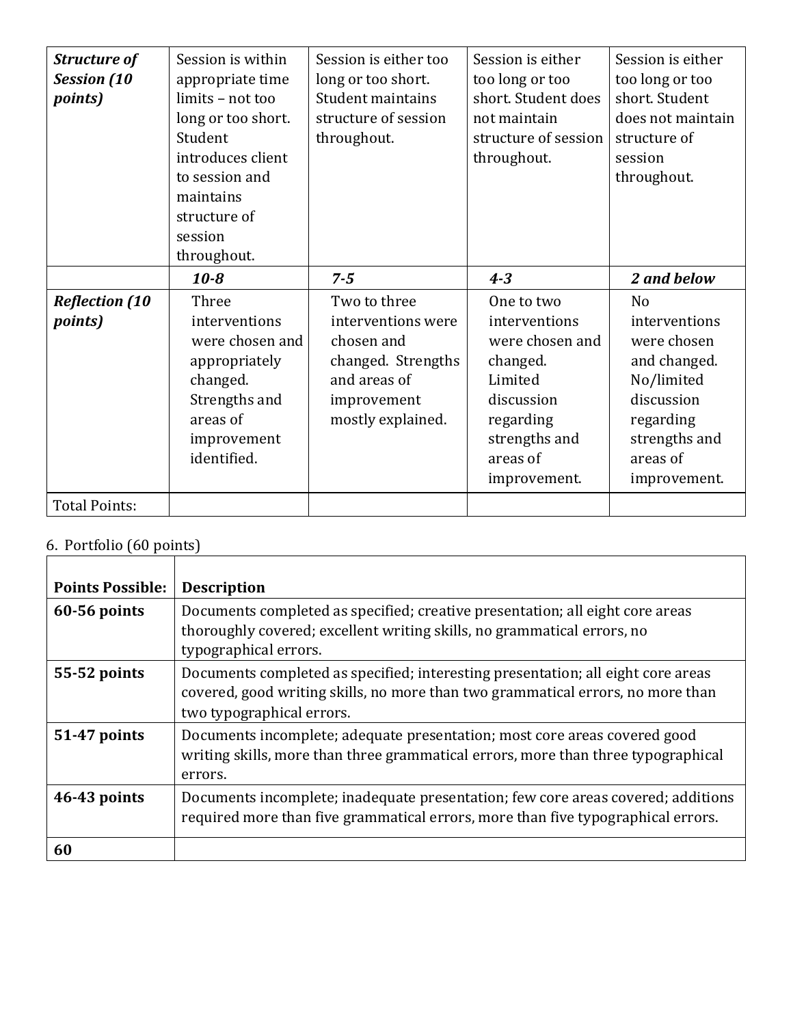| <b>Structure of</b><br><b>Session</b> (10<br><i>points</i> ) | Session is within<br>appropriate time<br>limits - not too<br>long or too short.<br>Student<br>introduces client<br>to session and<br>maintains<br>structure of<br>session | Session is either too<br>long or too short.<br>Student maintains<br>structure of session<br>throughout. | Session is either<br>too long or too<br>short. Student does<br>not maintain<br>structure of session<br>throughout. | Session is either<br>too long or too<br>short. Student<br>does not maintain<br>structure of<br>session<br>throughout. |
|--------------------------------------------------------------|---------------------------------------------------------------------------------------------------------------------------------------------------------------------------|---------------------------------------------------------------------------------------------------------|--------------------------------------------------------------------------------------------------------------------|-----------------------------------------------------------------------------------------------------------------------|
|                                                              | throughout.                                                                                                                                                               |                                                                                                         |                                                                                                                    |                                                                                                                       |
|                                                              | $10 - 8$                                                                                                                                                                  | $7 - 5$                                                                                                 | $4 - 3$                                                                                                            | 2 and below                                                                                                           |
| <b>Reflection (10</b>                                        | Three                                                                                                                                                                     | Two to three                                                                                            | One to two                                                                                                         | N <sub>o</sub>                                                                                                        |
| <i>points</i> )                                              | interventions                                                                                                                                                             | interventions were                                                                                      | interventions                                                                                                      | interventions                                                                                                         |
|                                                              | were chosen and                                                                                                                                                           | chosen and                                                                                              | were chosen and                                                                                                    | were chosen                                                                                                           |
|                                                              | appropriately                                                                                                                                                             | changed. Strengths                                                                                      | changed.                                                                                                           | and changed.                                                                                                          |
|                                                              | changed.                                                                                                                                                                  | and areas of                                                                                            | Limited                                                                                                            | No/limited                                                                                                            |
|                                                              | Strengths and<br>areas of                                                                                                                                                 | improvement<br>mostly explained.                                                                        | discussion                                                                                                         | discussion<br>regarding                                                                                               |
|                                                              | improvement                                                                                                                                                               |                                                                                                         | regarding<br>strengths and                                                                                         | strengths and                                                                                                         |
|                                                              | identified.                                                                                                                                                               |                                                                                                         | areas of                                                                                                           | areas of                                                                                                              |
|                                                              |                                                                                                                                                                           |                                                                                                         | improvement.                                                                                                       | improvement.                                                                                                          |
| <b>Total Points:</b>                                         |                                                                                                                                                                           |                                                                                                         |                                                                                                                    |                                                                                                                       |

### 6. Portfolio (60 points)

| <b>Points Possible:</b> | <b>Description</b>                                                                                                                                                                               |
|-------------------------|--------------------------------------------------------------------------------------------------------------------------------------------------------------------------------------------------|
| $60-56$ points          | Documents completed as specified; creative presentation; all eight core areas<br>thoroughly covered; excellent writing skills, no grammatical errors, no<br>typographical errors.                |
| 55-52 points            | Documents completed as specified; interesting presentation; all eight core areas<br>covered, good writing skills, no more than two grammatical errors, no more than<br>two typographical errors. |
| 51-47 points            | Documents incomplete; adequate presentation; most core areas covered good<br>writing skills, more than three grammatical errors, more than three typographical<br>errors.                        |
| 46-43 points            | Documents incomplete; inadequate presentation; few core areas covered; additions<br>required more than five grammatical errors, more than five typographical errors.                             |
| 60                      |                                                                                                                                                                                                  |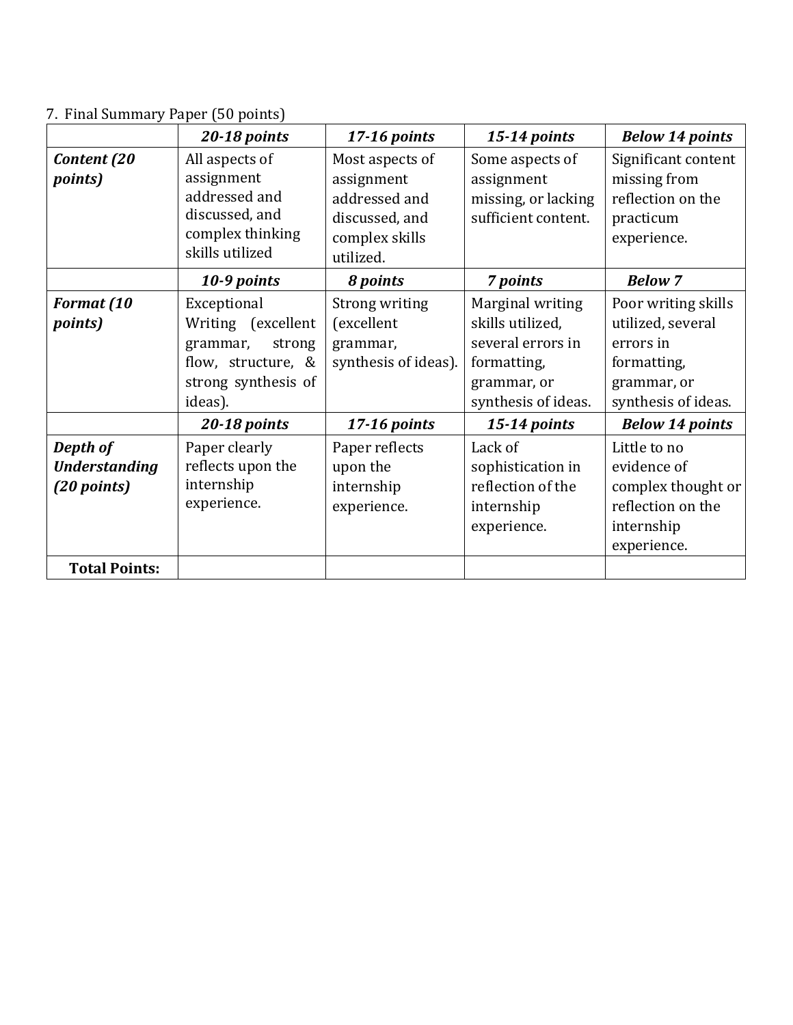# 7. Final Summary Paper (50 points)

|                                                 | 20-18 points                                                                                                    | $17-16$ points                                                                                  | 15-14 points                                                                                                   | <b>Below 14 points</b>                                                                                     |
|-------------------------------------------------|-----------------------------------------------------------------------------------------------------------------|-------------------------------------------------------------------------------------------------|----------------------------------------------------------------------------------------------------------------|------------------------------------------------------------------------------------------------------------|
| Content (20<br><i>points</i> )                  | All aspects of<br>assignment<br>addressed and<br>discussed, and<br>complex thinking<br>skills utilized          | Most aspects of<br>assignment<br>addressed and<br>discussed, and<br>complex skills<br>utilized. | Some aspects of<br>assignment<br>missing, or lacking<br>sufficient content.                                    | Significant content<br>missing from<br>reflection on the<br>practicum<br>experience.                       |
|                                                 | 10-9 points                                                                                                     | 8 points                                                                                        | 7 points                                                                                                       | <b>Below 7</b>                                                                                             |
| Format (10<br><i>points</i> )                   | Exceptional<br>Writing (excellent<br>grammar,<br>strong<br>flow, structure, &<br>strong synthesis of<br>ideas). | Strong writing<br>(excellent<br>grammar,<br>synthesis of ideas).                                | Marginal writing<br>skills utilized,<br>several errors in<br>formatting,<br>grammar, or<br>synthesis of ideas. | Poor writing skills<br>utilized, several<br>errors in<br>formatting,<br>grammar, or<br>synthesis of ideas. |
|                                                 | 20-18 points                                                                                                    | 17-16 points                                                                                    | 15-14 points                                                                                                   | <b>Below 14 points</b>                                                                                     |
| Depth of<br><b>Understanding</b><br>(20 points) | Paper clearly<br>reflects upon the<br>internship<br>experience.                                                 | Paper reflects<br>upon the<br>internship<br>experience.                                         | Lack of<br>sophistication in<br>reflection of the<br>internship<br>experience.                                 | Little to no<br>evidence of<br>complex thought or<br>reflection on the<br>internship<br>experience.        |
| <b>Total Points:</b>                            |                                                                                                                 |                                                                                                 |                                                                                                                |                                                                                                            |